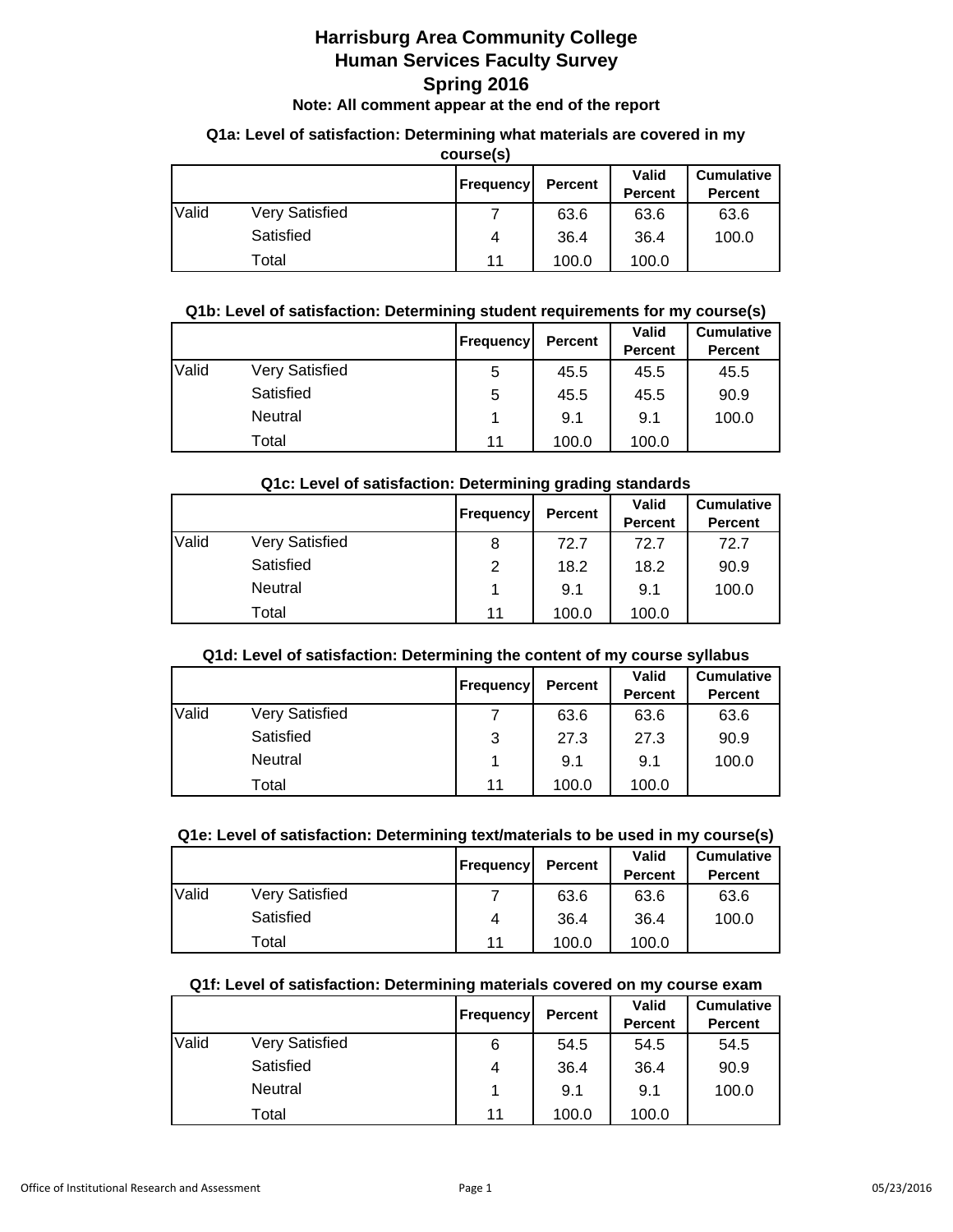# **Harrisburg Area Community College Human Services Faculty Survey Spring 2016**

### **Note: All comment appear at the end of the report**

#### **Q1a: Level of satisfaction: Determining what materials are covered in my**

**course(s)**

|       |                | <b>IFrequency</b> | <b>Percent</b> | Valid<br><b>Percent</b> | <b>Cumulative</b><br><b>Percent</b> |
|-------|----------------|-------------------|----------------|-------------------------|-------------------------------------|
| Valid | Very Satisfied |                   | 63.6           | 63.6                    | 63.6                                |
|       | Satisfied      | 4                 | 36.4           | 36.4                    | 100.0                               |
|       | Total          | 11                | 100.0          | 100.0                   |                                     |

### **Q1b: Level of satisfaction: Determining student requirements for my course(s)**

|       |                       | <b>Frequency</b> | Percent | <b>Valid</b><br><b>Percent</b> | <b>Cumulative</b><br><b>Percent</b> |
|-------|-----------------------|------------------|---------|--------------------------------|-------------------------------------|
| Valid | <b>Very Satisfied</b> | 5                | 45.5    | 45.5                           | 45.5                                |
|       | Satisfied             | 5                | 45.5    | 45.5                           | 90.9                                |
|       | Neutral               |                  | 9.1     | 9.1                            | 100.0                               |
|       | Total                 | 11               | 100.0   | 100.0                          |                                     |

#### **Q1c: Level of satisfaction: Determining grading standards**

|       |                | Frequency | <b>Percent</b> | <b>Valid</b><br><b>Percent</b> | <b>Cumulative</b><br><b>Percent</b> |
|-------|----------------|-----------|----------------|--------------------------------|-------------------------------------|
| Valid | Very Satisfied | 8         | 72.7           | 72.7                           | 72.7                                |
|       | Satisfied      | 2         | 18.2           | 18.2                           | 90.9                                |
|       | Neutral        |           | 9.1            | 9.1                            | 100.0                               |
|       | Total          | 11        | 100.0          | 100.0                          |                                     |

### **Q1d: Level of satisfaction: Determining the content of my course syllabus**

|       |                       | Frequency | <b>Percent</b> | Valid<br><b>Percent</b> | <b>Cumulative</b><br><b>Percent</b> |
|-------|-----------------------|-----------|----------------|-------------------------|-------------------------------------|
| Valid | <b>Very Satisfied</b> |           | 63.6           | 63.6                    | 63.6                                |
|       | Satisfied             | 3         | 27.3           | 27.3                    | 90.9                                |
|       | <b>Neutral</b>        |           | 9.1            | 9.1                     | 100.0                               |
|       | Total                 | 11        | 100.0          | 100.0                   |                                     |

### **Q1e: Level of satisfaction: Determining text/materials to be used in my course(s)**

|       |                       | <b>Frequencyl</b> | <b>Percent</b> | Valid<br><b>Percent</b> | <b>Cumulative</b><br><b>Percent</b> |
|-------|-----------------------|-------------------|----------------|-------------------------|-------------------------------------|
| Valid | <b>Very Satisfied</b> |                   | 63.6           | 63.6                    | 63.6                                |
|       | Satisfied             | 4                 | 36.4           | 36.4                    | 100.0                               |
|       | Total                 | 11                | 100.0          | 100.0                   |                                     |

#### **Q1f: Level of satisfaction: Determining materials covered on my course exam**

|       |                       | <b>Frequency</b> | <b>Percent</b> | <b>Valid</b><br><b>Percent</b> | <b>Cumulative</b><br><b>Percent</b> |
|-------|-----------------------|------------------|----------------|--------------------------------|-------------------------------------|
| Valid | <b>Very Satisfied</b> | 6                | 54.5           | 54.5                           | 54.5                                |
|       | Satisfied             | 4                | 36.4           | 36.4                           | 90.9                                |
|       | Neutral               | 1                | 9.1            | 9.1                            | 100.0                               |
|       | Total                 | 11               | 100.0          | 100.0                          |                                     |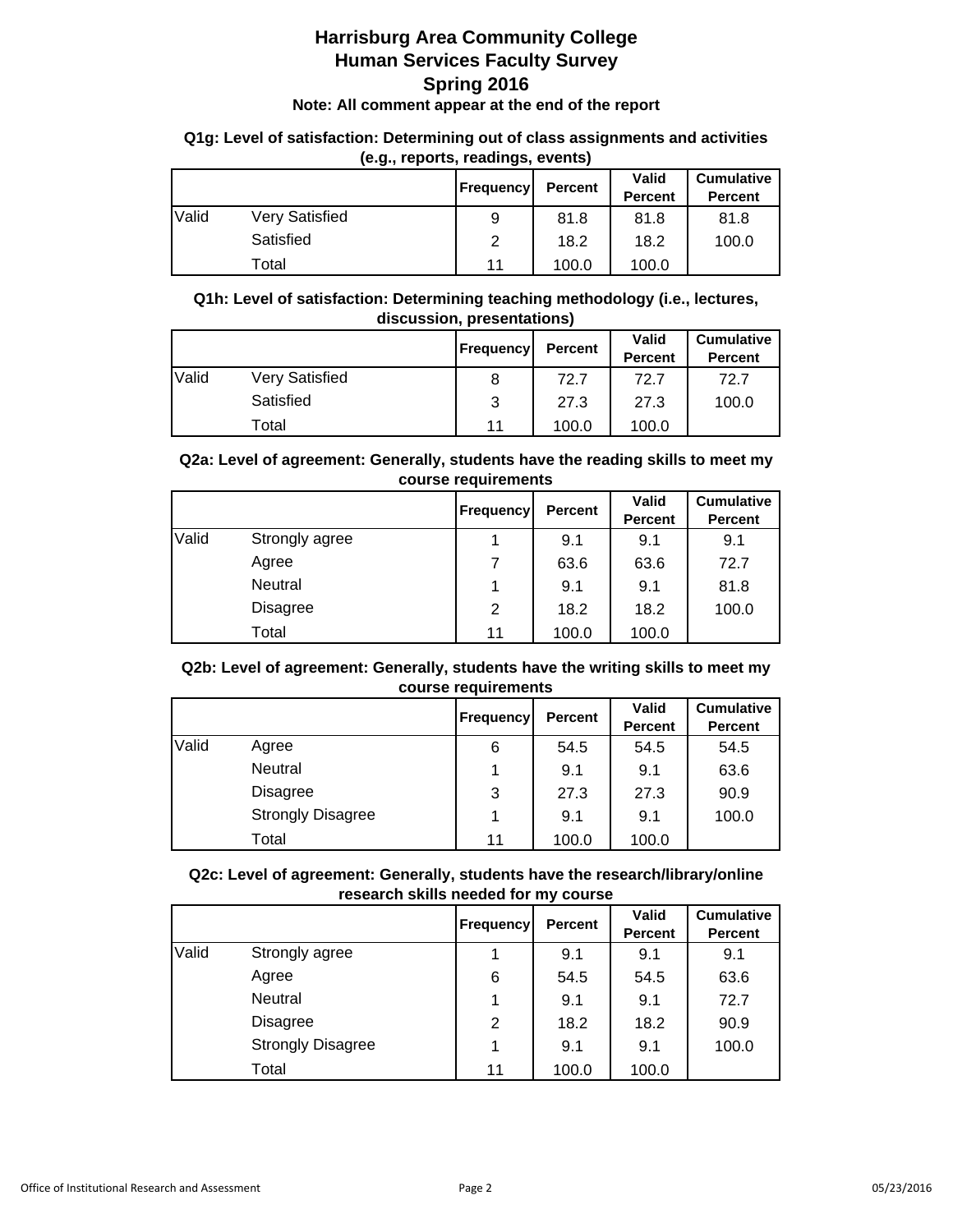### **Q1g: Level of satisfaction: Determining out of class assignments and activities (e.g., reports, readings, events)**

|       |                | <b>Frequency</b> | <b>Percent</b> | <b>Valid</b><br><b>Percent</b> | <b>Cumulative</b><br><b>Percent</b> |
|-------|----------------|------------------|----------------|--------------------------------|-------------------------------------|
| Valid | Very Satisfied | 9                | 81.8           | 81.8                           | 81.8                                |
|       | Satisfied      | 2                | 18.2           | 18.2                           | 100.0                               |
|       | Total          | 11               | 100.0          | 100.0                          |                                     |

### **Q1h: Level of satisfaction: Determining teaching methodology (i.e., lectures, discussion, presentations)**

|       |                | <b>Frequency</b> | <b>Percent</b> | <b>Valid</b><br><b>Percent</b> | <b>Cumulative</b><br><b>Percent</b> |
|-------|----------------|------------------|----------------|--------------------------------|-------------------------------------|
| Valid | Very Satisfied | 8                | 72.7           | 72.7                           | 72.7                                |
|       | Satisfied      | 3                | 27.3           | 27.3                           | 100.0                               |
|       | Total          | 11               | 100.0          | 100.0                          |                                     |

### **Q2a: Level of agreement: Generally, students have the reading skills to meet my course requirements**

|       |                 |                |                | Valid          | <b>Cumulative</b> |
|-------|-----------------|----------------|----------------|----------------|-------------------|
|       |                 | Frequency      | <b>Percent</b> | <b>Percent</b> | <b>Percent</b>    |
| Valid | Strongly agree  |                | 9.1            | 9.1            | 9.1               |
|       | Agree           | 7              | 63.6           | 63.6           | 72.7              |
|       | Neutral         |                | 9.1            | 9.1            | 81.8              |
|       | <b>Disagree</b> | $\overline{2}$ | 18.2           | 18.2           | 100.0             |
|       | Total           | 11             | 100.0          | 100.0          |                   |

### **Q2b: Level of agreement: Generally, students have the writing skills to meet my course requirements**

|       |                          |                  |         | Valid          | <b>Cumulative</b> |
|-------|--------------------------|------------------|---------|----------------|-------------------|
|       |                          | <b>Frequency</b> | Percent | <b>Percent</b> | <b>Percent</b>    |
| Valid | Agree                    | 6                | 54.5    | 54.5           | 54.5              |
|       | Neutral                  |                  | 9.1     | 9.1            | 63.6              |
|       | <b>Disagree</b>          | 3                | 27.3    | 27.3           | 90.9              |
|       | <b>Strongly Disagree</b> |                  | 9.1     | 9.1            | 100.0             |
|       | Total                    | 11               | 100.0   | 100.0          |                   |

### **Q2c: Level of agreement: Generally, students have the research/library/online research skills needed for my course**

|       |                          | Frequency   | Percent | Valid<br><b>Percent</b> | <b>Cumulative</b><br><b>Percent</b> |
|-------|--------------------------|-------------|---------|-------------------------|-------------------------------------|
| Valid | Strongly agree           | $\mathbf 1$ | 9.1     | 9.1                     | 9.1                                 |
|       | Agree                    | 6           | 54.5    | 54.5                    | 63.6                                |
|       | Neutral                  | 1           | 9.1     | 9.1                     | 72.7                                |
|       | <b>Disagree</b>          | 2           | 18.2    | 18.2                    | 90.9                                |
|       | <b>Strongly Disagree</b> | 1           | 9.1     | 9.1                     | 100.0                               |
|       | Total                    | 11          | 100.0   | 100.0                   |                                     |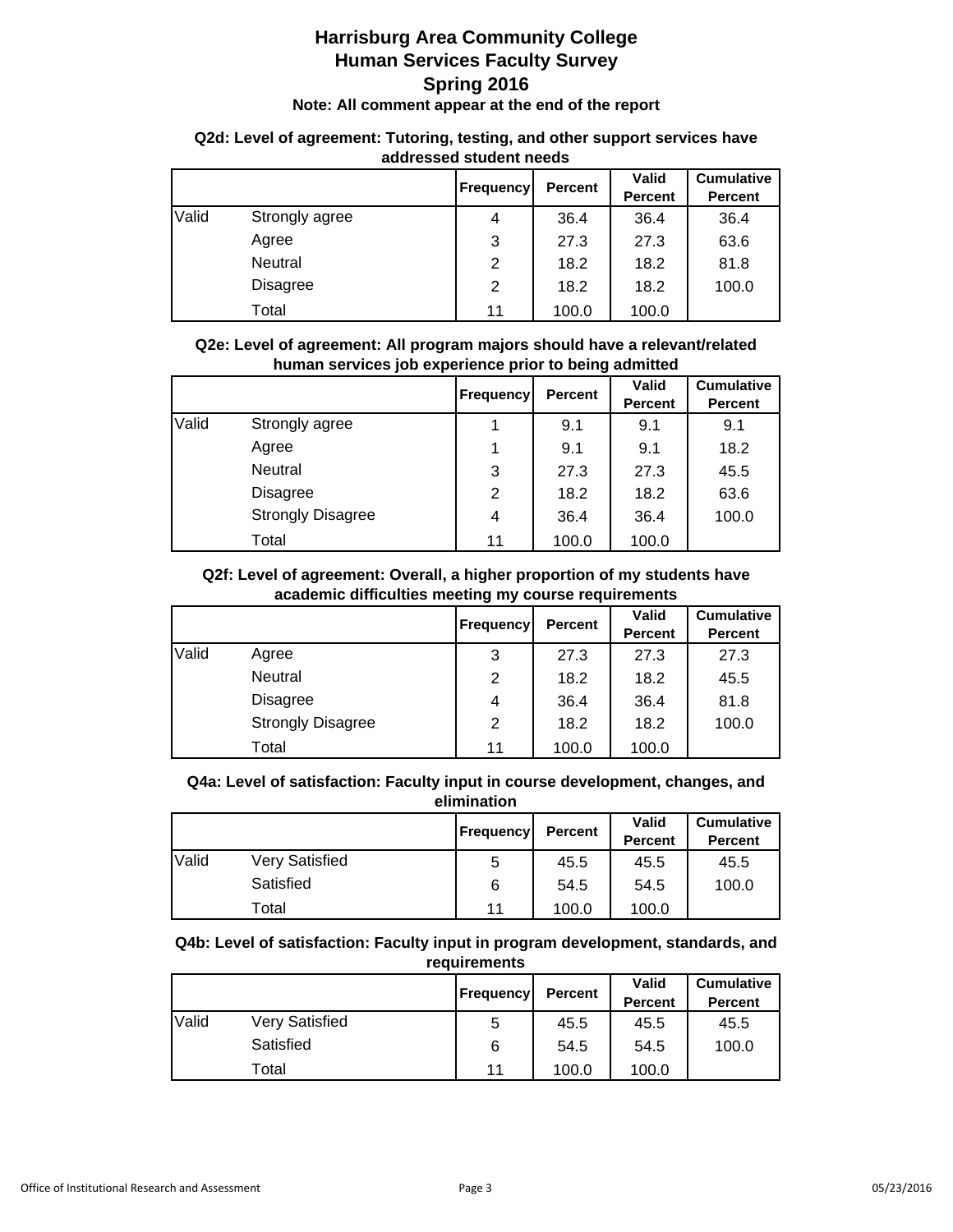|       | <u>aaarooca olaaviil iloodo</u> |                  |                                |                   |                |  |  |
|-------|---------------------------------|------------------|--------------------------------|-------------------|----------------|--|--|
|       |                                 | <b>Frequency</b> | <b>Valid</b><br><b>Percent</b> | <b>Cumulative</b> |                |  |  |
|       |                                 |                  |                                | <b>Percent</b>    | <b>Percent</b> |  |  |
| Valid | Strongly agree                  | 4                | 36.4                           | 36.4              | 36.4           |  |  |
|       | Agree                           | 3                | 27.3                           | 27.3              | 63.6           |  |  |
|       | Neutral                         | 2                | 18.2                           | 18.2              | 81.8           |  |  |
|       | <b>Disagree</b>                 | 2                | 18.2                           | 18.2              | 100.0          |  |  |
|       | Total                           | 11               | 100.0                          | 100.0             |                |  |  |

### **Q2d: Level of agreement: Tutoring, testing, and other support services have addressed student needs**

**Q2e: Level of agreement: All program majors should have a relevant/related human services job experience prior to being admitted**

|       |                          | <b>Frequency</b> | <b>Percent</b> | Valid<br><b>Percent</b> | <b>Cumulative</b><br><b>Percent</b> |
|-------|--------------------------|------------------|----------------|-------------------------|-------------------------------------|
| Valid | Strongly agree           |                  | 9.1            | 9.1                     | 9.1                                 |
|       | Agree                    | 1                | 9.1            | 9.1                     | 18.2                                |
|       | Neutral                  | 3                | 27.3           | 27.3                    | 45.5                                |
|       | <b>Disagree</b>          | $\overline{2}$   | 18.2           | 18.2                    | 63.6                                |
|       | <b>Strongly Disagree</b> | 4                | 36.4           | 36.4                    | 100.0                               |
|       | Total                    | 11               | 100.0          | 100.0                   |                                     |

### **Q2f: Level of agreement: Overall, a higher proportion of my students have academic difficulties meeting my course requirements**

|       |                          | <b>Frequency</b> | Percent | <b>Valid</b><br><b>Percent</b> | <b>Cumulative</b><br><b>Percent</b> |
|-------|--------------------------|------------------|---------|--------------------------------|-------------------------------------|
| Valid | Agree                    | 3                | 27.3    | 27.3                           | 27.3                                |
|       | Neutral                  | 2                | 18.2    | 18.2                           | 45.5                                |
|       | <b>Disagree</b>          | 4                | 36.4    | 36.4                           | 81.8                                |
|       | <b>Strongly Disagree</b> | 2                | 18.2    | 18.2                           | 100.0                               |
|       | Total                    | 11               | 100.0   | 100.0                          |                                     |

**Q4a: Level of satisfaction: Faculty input in course development, changes, and elimination**

|       |                | <b>Frequency</b> | <b>Percent</b> | Valid<br><b>Percent</b> | <b>Cumulative</b><br><b>Percent</b> |
|-------|----------------|------------------|----------------|-------------------------|-------------------------------------|
| Valid | Very Satisfied | 5                | 45.5           | 45.5                    | 45.5                                |
|       | Satisfied      | 6                | 54.5           | 54.5                    | 100.0                               |
|       | Total          | 11               | 100.0          | 100.0                   |                                     |

### **Q4b: Level of satisfaction: Faculty input in program development, standards, and requirements**

|       |                       | <b>Frequency</b> | <b>Percent</b> | <b>Valid</b><br><b>Percent</b> | <b>Cumulative</b><br><b>Percent</b> |
|-------|-----------------------|------------------|----------------|--------------------------------|-------------------------------------|
| Valid | <b>Very Satisfied</b> | 5                | 45.5           | 45.5                           | 45.5                                |
|       | Satisfied             | 6                | 54.5           | 54.5                           | 100.0                               |
|       | Total                 | 11               | 100.0          | 100.0                          |                                     |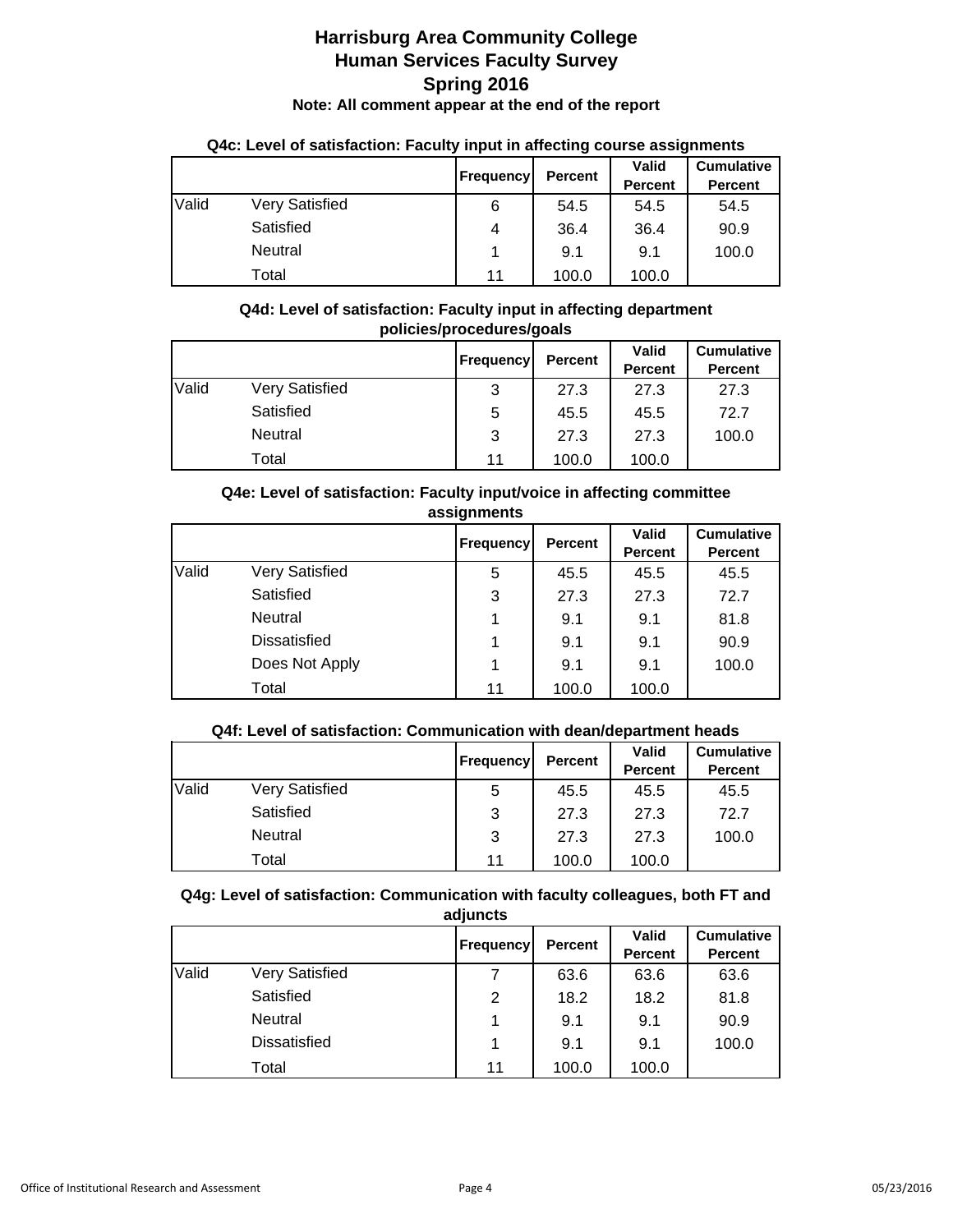|       |                       | <b>Frequency</b> | <b>Percent</b> | <b>Valid</b><br><b>Percent</b> | <b>Cumulative</b><br><b>Percent</b> |
|-------|-----------------------|------------------|----------------|--------------------------------|-------------------------------------|
| Valid | <b>Very Satisfied</b> | 6                | 54.5           | 54.5                           | 54.5                                |
|       | Satisfied             | 4                | 36.4           | 36.4                           | 90.9                                |
|       | Neutral               |                  | 9.1            | 9.1                            | 100.0                               |
|       | Total                 | 11               | 100.0          | 100.0                          |                                     |

### **Q4c: Level of satisfaction: Faculty input in affecting course assignments**

### **Q4d: Level of satisfaction: Faculty input in affecting department policies/procedures/goals**

|       |                       | <b>Frequency</b> | Percent | <b>Valid</b><br><b>Percent</b> | <b>Cumulative</b><br><b>Percent</b> |
|-------|-----------------------|------------------|---------|--------------------------------|-------------------------------------|
| Valid | <b>Very Satisfied</b> | 3                | 27.3    | 27.3                           | 27.3                                |
|       | Satisfied             | 5                | 45.5    | 45.5                           | 72.7                                |
|       | Neutral               | 3                | 27.3    | 27.3                           | 100.0                               |
|       | Total                 | 11               | 100.0   | 100.0                          |                                     |

### **Q4e: Level of satisfaction: Faculty input/voice in affecting committee assignments**

|       |                       | Frequency | <b>Percent</b> | Valid<br><b>Percent</b> | <b>Cumulative</b><br><b>Percent</b> |
|-------|-----------------------|-----------|----------------|-------------------------|-------------------------------------|
| Valid | <b>Very Satisfied</b> | 5         | 45.5           | 45.5                    | 45.5                                |
|       | Satisfied             | 3         | 27.3           | 27.3                    | 72.7                                |
|       | Neutral               |           | 9.1            | 9.1                     | 81.8                                |
|       | <b>Dissatisfied</b>   |           | 9.1            | 9.1                     | 90.9                                |
|       | Does Not Apply        | 1         | 9.1            | 9.1                     | 100.0                               |
|       | Total                 | 11        | 100.0          | 100.0                   |                                     |

### **Q4f: Level of satisfaction: Communication with dean/department heads**

|       |                | <b>Frequency</b> | <b>Percent</b> | <b>Valid</b><br><b>Percent</b> | <b>Cumulative</b><br><b>Percent</b> |
|-------|----------------|------------------|----------------|--------------------------------|-------------------------------------|
| Valid | Very Satisfied | 5                | 45.5           | 45.5                           | 45.5                                |
|       | Satisfied      | 3                | 27.3           | 27.3                           | 72.7                                |
|       | Neutral        | 3                | 27.3           | 27.3                           | 100.0                               |
|       | Total          | 11               | 100.0          | 100.0                          |                                     |

### **Q4g: Level of satisfaction: Communication with faculty colleagues, both FT and adjuncts**

|       |                     | <b>Frequency</b> | <b>Percent</b> | Valid          | <b>Cumulative</b> |
|-------|---------------------|------------------|----------------|----------------|-------------------|
|       |                     |                  |                | <b>Percent</b> | <b>Percent</b>    |
| Valid | Very Satisfied      | 7                | 63.6           | 63.6           | 63.6              |
|       | Satisfied           | 2                | 18.2           | 18.2           | 81.8              |
|       | Neutral             |                  | 9.1            | 9.1            | 90.9              |
|       | <b>Dissatisfied</b> | 1                | 9.1            | 9.1            | 100.0             |
|       | Total               | 11               | 100.0          | 100.0          |                   |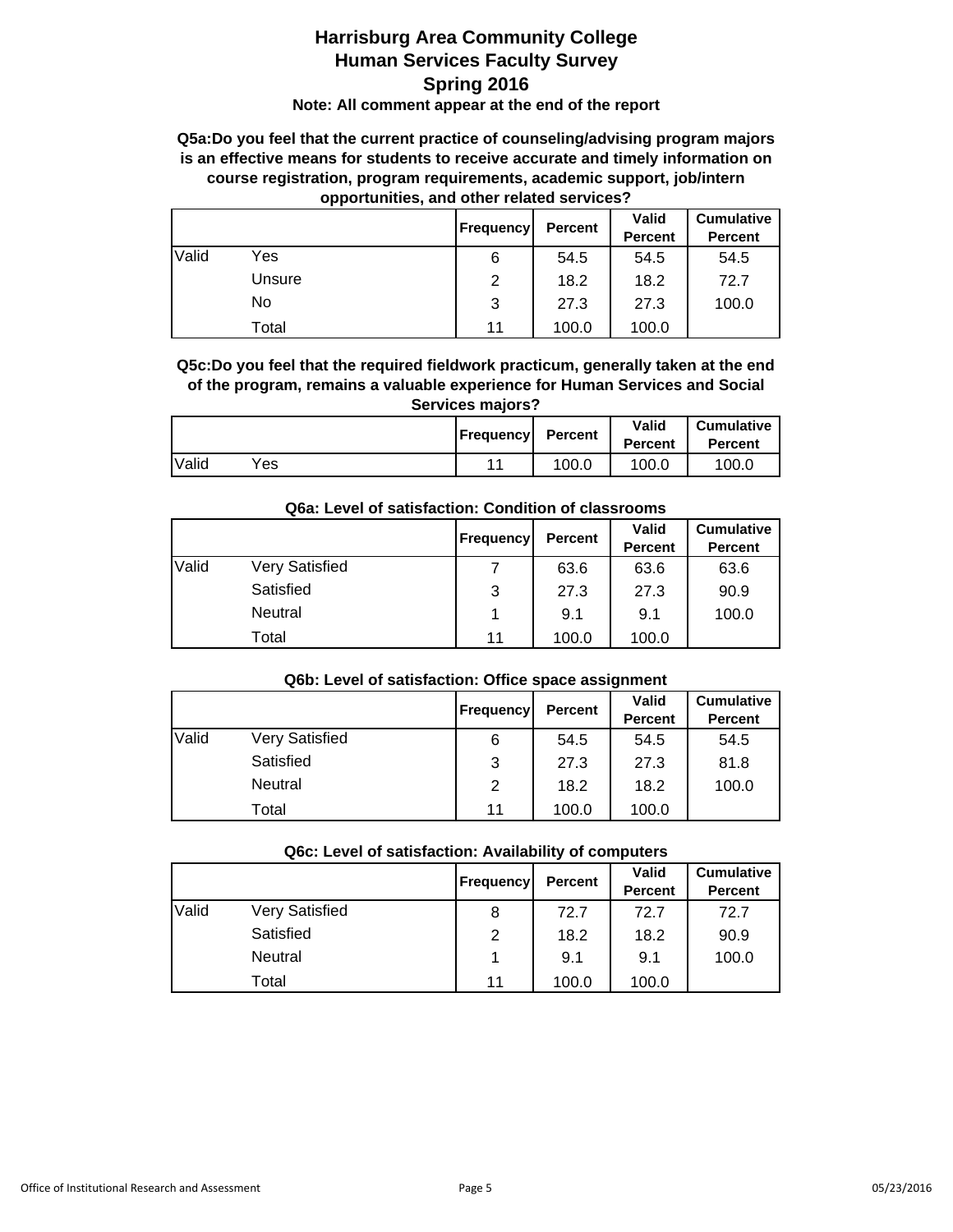# **Harrisburg Area Community College Human Services Faculty Survey Spring 2016**

#### **Note: All comment appear at the end of the report**

### **Q5a:Do you feel that the current practice of counseling/advising program majors is an effective means for students to receive accurate and timely information on course registration, program requirements, academic support, job/intern opportunities, and other related services?**

|       |        | <b>Frequency</b> | Percent | Valid<br><b>Percent</b> | <b>Cumulative</b><br><b>Percent</b> |
|-------|--------|------------------|---------|-------------------------|-------------------------------------|
| Valid | Yes    | 6                | 54.5    | 54.5                    | 54.5                                |
|       | Unsure | 2                | 18.2    | 18.2                    | 72.7                                |
|       | No     | 3                | 27.3    | 27.3                    | 100.0                               |
|       | Total  | 11               | 100.0   | 100.0                   |                                     |

#### **Q5c:Do you feel that the required fieldwork practicum, generally taken at the end of the program, remains a valuable experience for Human Services and Social Services majors?**

|              | <b>Frequency</b> | <b>Percent</b> | <b>Valid</b><br><b>Percent</b> | <b>Cumulative</b><br><b>Percent</b> |
|--------------|------------------|----------------|--------------------------------|-------------------------------------|
| Valid<br>Yes | 44               | 100.0          | 100.0                          | 100.0                               |

## **Q6a: Level of satisfaction: Condition of classrooms**

|       |                       | <b>Frequency</b> | <b>Percent</b> | <b>Valid</b><br><b>Percent</b> | <b>Cumulative</b><br><b>Percent</b> |
|-------|-----------------------|------------------|----------------|--------------------------------|-------------------------------------|
| Valid | <b>Very Satisfied</b> | 7                | 63.6           | 63.6                           | 63.6                                |
|       | Satisfied             | 3                | 27.3           | 27.3                           | 90.9                                |
|       | Neutral               | 1                | 9.1            | 9.1                            | 100.0                               |
|       | Total                 | 11               | 100.0          | 100.0                          |                                     |

### **Q6b: Level of satisfaction: Office space assignment**

|       |                       | <b>Frequency</b> | Percent | <b>Valid</b><br><b>Percent</b> | <b>Cumulative</b><br><b>Percent</b> |
|-------|-----------------------|------------------|---------|--------------------------------|-------------------------------------|
| Valid | <b>Very Satisfied</b> | 6                | 54.5    | 54.5                           | 54.5                                |
|       | Satisfied             | 3                | 27.3    | 27.3                           | 81.8                                |
|       | Neutral               | 2                | 18.2    | 18.2                           | 100.0                               |
|       | Total                 | 11               | 100.0   | 100.0                          |                                     |

### **Q6c: Level of satisfaction: Availability of computers**

|       |                       | <b>Frequency</b> | <b>Percent</b> | <b>Valid</b><br><b>Percent</b> | <b>Cumulative</b><br><b>Percent</b> |
|-------|-----------------------|------------------|----------------|--------------------------------|-------------------------------------|
| Valid | <b>Very Satisfied</b> | 8                | 72.7           | 72.7                           | 72.7                                |
|       | Satisfied             | 2                | 18.2           | 18.2                           | 90.9                                |
|       | Neutral               | 1                | 9.1            | 9.1                            | 100.0                               |
|       | Total                 | 11               | 100.0          | 100.0                          |                                     |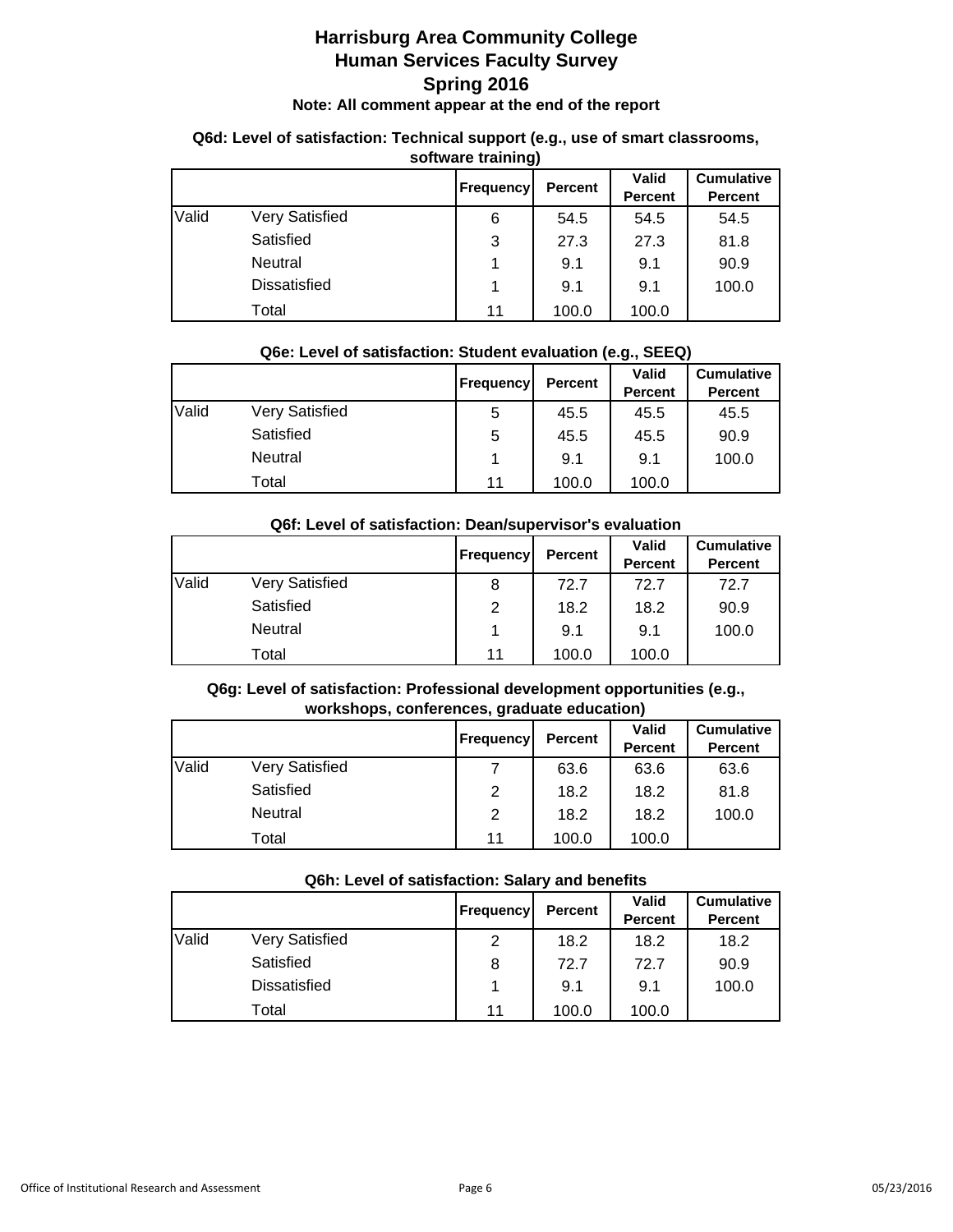### **Q6d: Level of satisfaction: Technical support (e.g., use of smart classrooms, software training)**

|       | . .                 |                  |         |                         |                                     |
|-------|---------------------|------------------|---------|-------------------------|-------------------------------------|
|       |                     | <b>Frequency</b> | Percent | Valid<br><b>Percent</b> | <b>Cumulative</b><br><b>Percent</b> |
| Valid | Very Satisfied      | 6                | 54.5    | 54.5                    | 54.5                                |
|       | Satisfied           | 3                | 27.3    | 27.3                    | 81.8                                |
|       | <b>Neutral</b>      |                  | 9.1     | 9.1                     | 90.9                                |
|       | <b>Dissatisfied</b> |                  | 9.1     | 9.1                     | 100.0                               |
|       | Total               | 11               | 100.0   | 100.0                   |                                     |

### **Q6e: Level of satisfaction: Student evaluation (e.g., SEEQ)**

|       |                | Frequency | <b>Percent</b> | <b>Valid</b><br><b>Percent</b> | <b>Cumulative</b><br><b>Percent</b> |
|-------|----------------|-----------|----------------|--------------------------------|-------------------------------------|
| Valid | Very Satisfied | 5         | 45.5           | 45.5                           | 45.5                                |
|       | Satisfied      | 5         | 45.5           | 45.5                           | 90.9                                |
|       | Neutral        |           | 9.1            | 9.1                            | 100.0                               |
|       | Total          | 11        | 100.0          | 100.0                          |                                     |

|       |                       | Frequency | <b>Percent</b> | Valid<br><b>Percent</b> | <b>Cumulative</b><br><b>Percent</b> |
|-------|-----------------------|-----------|----------------|-------------------------|-------------------------------------|
| Valid | <b>Very Satisfied</b> | 8         | 72.7           | 72.7                    | 72.7                                |
|       | Satisfied             | 2         | 18.2           | 18.2                    | 90.9                                |
|       | Neutral               |           | 9.1            | 9.1                     | 100.0                               |
|       | Total                 | 11        | 100.0          | 100.0                   |                                     |

### **Q6f: Level of satisfaction: Dean/supervisor's evaluation**

### **Q6g: Level of satisfaction: Professional development opportunities (e.g., workshops, conferences, graduate education)**

|       |                | Frequency | <b>Percent</b> | <b>Valid</b><br><b>Percent</b> | <b>Cumulative</b><br><b>Percent</b> |
|-------|----------------|-----------|----------------|--------------------------------|-------------------------------------|
| Valid | Very Satisfied |           | 63.6           | 63.6                           | 63.6                                |
|       | Satisfied      | 2         | 18.2           | 18.2                           | 81.8                                |
|       | Neutral        | 2         | 18.2           | 18.2                           | 100.0                               |
|       | Total          | 11        | 100.0          | 100.0                          |                                     |

### **Q6h: Level of satisfaction: Salary and benefits**

|       |                       | Frequency | <b>Percent</b> | Valid<br><b>Percent</b> | <b>Cumulative</b><br><b>Percent</b> |
|-------|-----------------------|-----------|----------------|-------------------------|-------------------------------------|
| Valid | <b>Very Satisfied</b> | 2         | 18.2           | 18.2                    | 18.2                                |
|       | Satisfied             | 8         | 72.7           | 72.7                    | 90.9                                |
|       | <b>Dissatisfied</b>   |           | 9.1            | 9.1                     | 100.0                               |
|       | Total                 | 11        | 100.0          | 100.0                   |                                     |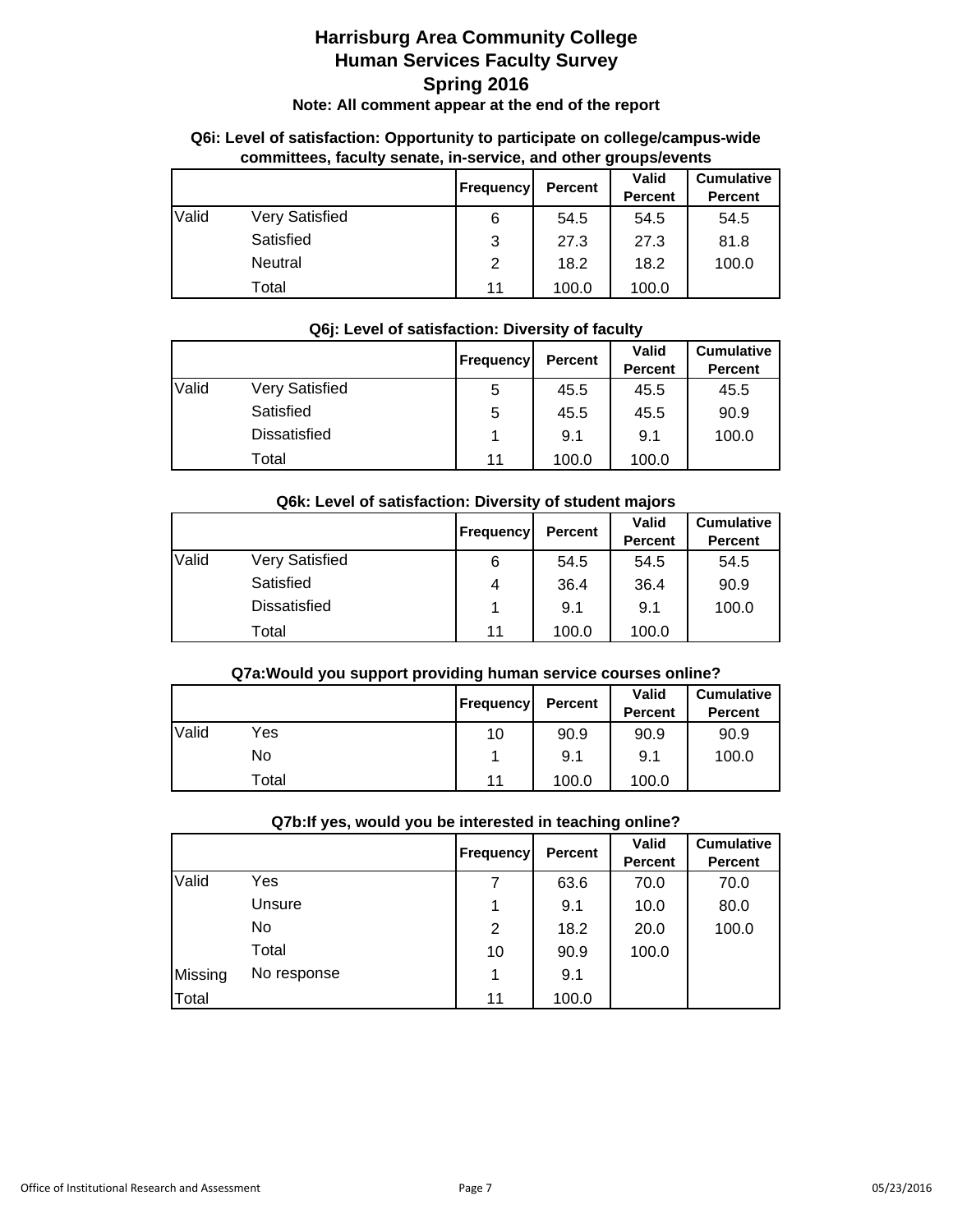### **Q6i: Level of satisfaction: Opportunity to participate on college/campus-wide committees, faculty senate, in-service, and other groups/events**

|       |                | <b>Frequency</b> | <b>Percent</b> | <b>Valid</b><br><b>Percent</b> | <b>Cumulative</b><br><b>Percent</b> |
|-------|----------------|------------------|----------------|--------------------------------|-------------------------------------|
| Valid | Very Satisfied | 6                | 54.5           | 54.5                           | 54.5                                |
|       | Satisfied      | 3                | 27.3           | 27.3                           | 81.8                                |
|       | Neutral        | 2                | 18.2           | 18.2                           | 100.0                               |
|       | Total          | 11               | 100.0          | 100.0                          |                                     |

#### **Frequency Percent Valid Percent Cumulative Percent** Valid Very Satisfied 1 5 45.5 45.5 45.5 Satisfied **5** 5 45.5 45.5 90.9 Dissatisfied 1 1 9.1 9.1 100.0 Total 100.0 | 11 | 100.0 | 100.0

### **Q6j: Level of satisfaction: Diversity of faculty**

### **Q6k: Level of satisfaction: Diversity of student majors**

|       |                       | <b>Frequency</b> | Percent | Valid          | <b>Cumulative</b> |
|-------|-----------------------|------------------|---------|----------------|-------------------|
|       |                       |                  |         | <b>Percent</b> | <b>Percent</b>    |
| Valid | <b>Very Satisfied</b> | 6                | 54.5    | 54.5           | 54.5              |
|       | Satisfied             | 4                | 36.4    | 36.4           | 90.9              |
|       | <b>Dissatisfied</b>   |                  | 9.1     | 9.1            | 100.0             |
|       | Total                 | 11               | 100.0   | 100.0          |                   |

### **Q7a:Would you support providing human service courses online?**

|       |       | <b>Frequency</b> | <b>Percent</b> | Valid<br><b>Percent</b> | <b>Cumulative</b><br><b>Percent</b> |
|-------|-------|------------------|----------------|-------------------------|-------------------------------------|
| Valid | Yes   | 10               | 90.9           | 90.9                    | 90.9                                |
|       | No    |                  | 9.1            | 9.1                     | 100.0                               |
|       | Total | 11               | 100.0          | 100.0                   |                                     |

#### **Q7b:If yes, would you be interested in teaching online?**

|         |             | Frequency      | <b>Percent</b> | Valid<br><b>Percent</b> | <b>Cumulative</b><br><b>Percent</b> |
|---------|-------------|----------------|----------------|-------------------------|-------------------------------------|
| Valid   | Yes         | 7              | 63.6           | 70.0                    | 70.0                                |
|         | Unsure      | $\mathbf 1$    | 9.1            | 10.0                    | 80.0                                |
|         | No          | $\overline{2}$ | 18.2           | 20.0                    | 100.0                               |
|         | Total       | 10             | 90.9           | 100.0                   |                                     |
| Missing | No response | 1              | 9.1            |                         |                                     |
| Total   |             | 11             | 100.0          |                         |                                     |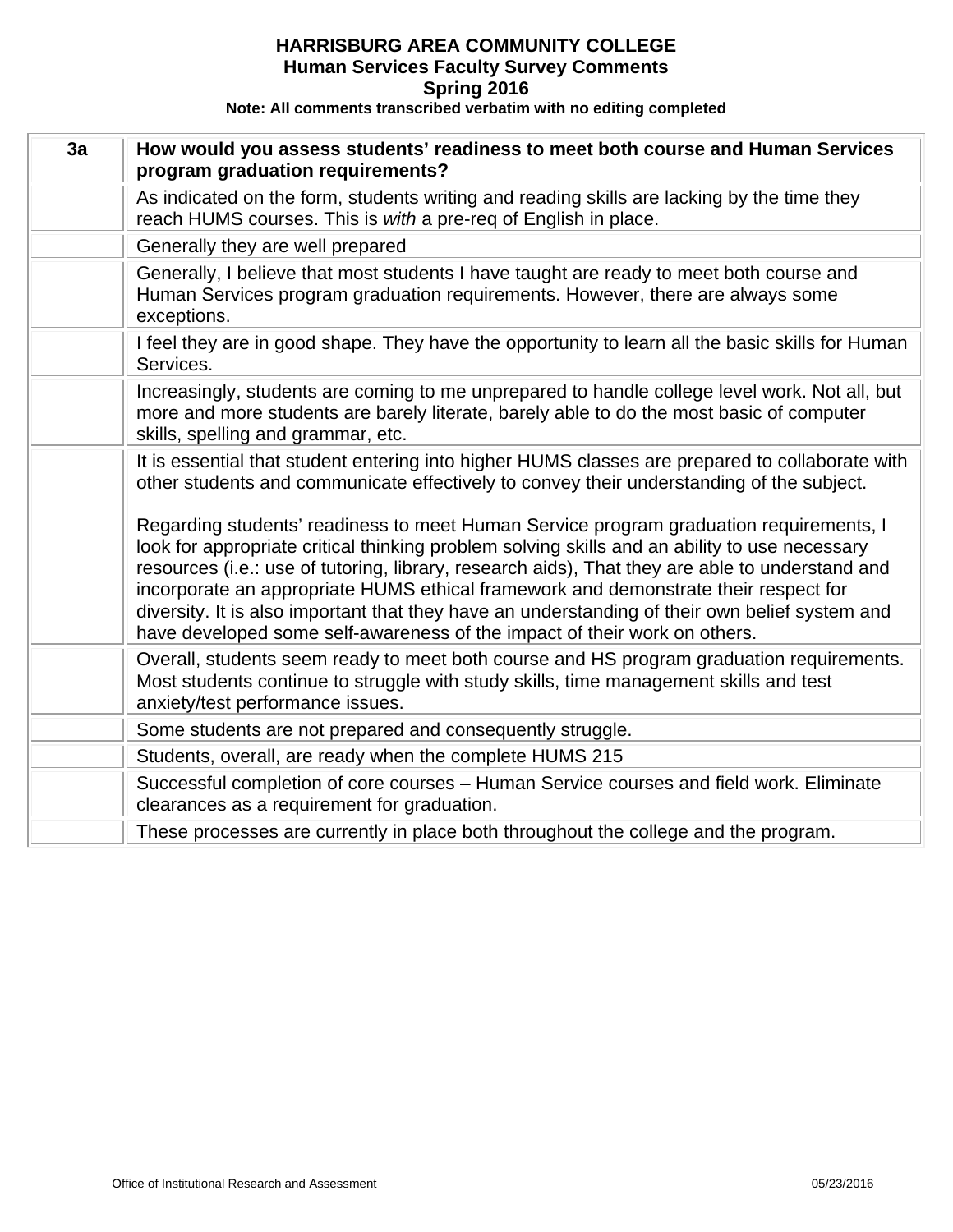| 3a | How would you assess students' readiness to meet both course and Human Services<br>program graduation requirements?                                                                                                                                                                                                                                                                                                                                                                                                                                              |
|----|------------------------------------------------------------------------------------------------------------------------------------------------------------------------------------------------------------------------------------------------------------------------------------------------------------------------------------------------------------------------------------------------------------------------------------------------------------------------------------------------------------------------------------------------------------------|
|    | As indicated on the form, students writing and reading skills are lacking by the time they<br>reach HUMS courses. This is with a pre-req of English in place.                                                                                                                                                                                                                                                                                                                                                                                                    |
|    | Generally they are well prepared                                                                                                                                                                                                                                                                                                                                                                                                                                                                                                                                 |
|    | Generally, I believe that most students I have taught are ready to meet both course and<br>Human Services program graduation requirements. However, there are always some<br>exceptions.                                                                                                                                                                                                                                                                                                                                                                         |
|    | I feel they are in good shape. They have the opportunity to learn all the basic skills for Human<br>Services.                                                                                                                                                                                                                                                                                                                                                                                                                                                    |
|    | Increasingly, students are coming to me unprepared to handle college level work. Not all, but<br>more and more students are barely literate, barely able to do the most basic of computer<br>skills, spelling and grammar, etc.                                                                                                                                                                                                                                                                                                                                  |
|    | It is essential that student entering into higher HUMS classes are prepared to collaborate with<br>other students and communicate effectively to convey their understanding of the subject.                                                                                                                                                                                                                                                                                                                                                                      |
|    | Regarding students' readiness to meet Human Service program graduation requirements, I<br>look for appropriate critical thinking problem solving skills and an ability to use necessary<br>resources (i.e.: use of tutoring, library, research aids), That they are able to understand and<br>incorporate an appropriate HUMS ethical framework and demonstrate their respect for<br>diversity. It is also important that they have an understanding of their own belief system and<br>have developed some self-awareness of the impact of their work on others. |
|    | Overall, students seem ready to meet both course and HS program graduation requirements.<br>Most students continue to struggle with study skills, time management skills and test<br>anxiety/test performance issues.                                                                                                                                                                                                                                                                                                                                            |
|    | Some students are not prepared and consequently struggle.                                                                                                                                                                                                                                                                                                                                                                                                                                                                                                        |
|    | Students, overall, are ready when the complete HUMS 215                                                                                                                                                                                                                                                                                                                                                                                                                                                                                                          |
|    | Successful completion of core courses - Human Service courses and field work. Eliminate<br>clearances as a requirement for graduation.                                                                                                                                                                                                                                                                                                                                                                                                                           |
|    | These processes are currently in place both throughout the college and the program.                                                                                                                                                                                                                                                                                                                                                                                                                                                                              |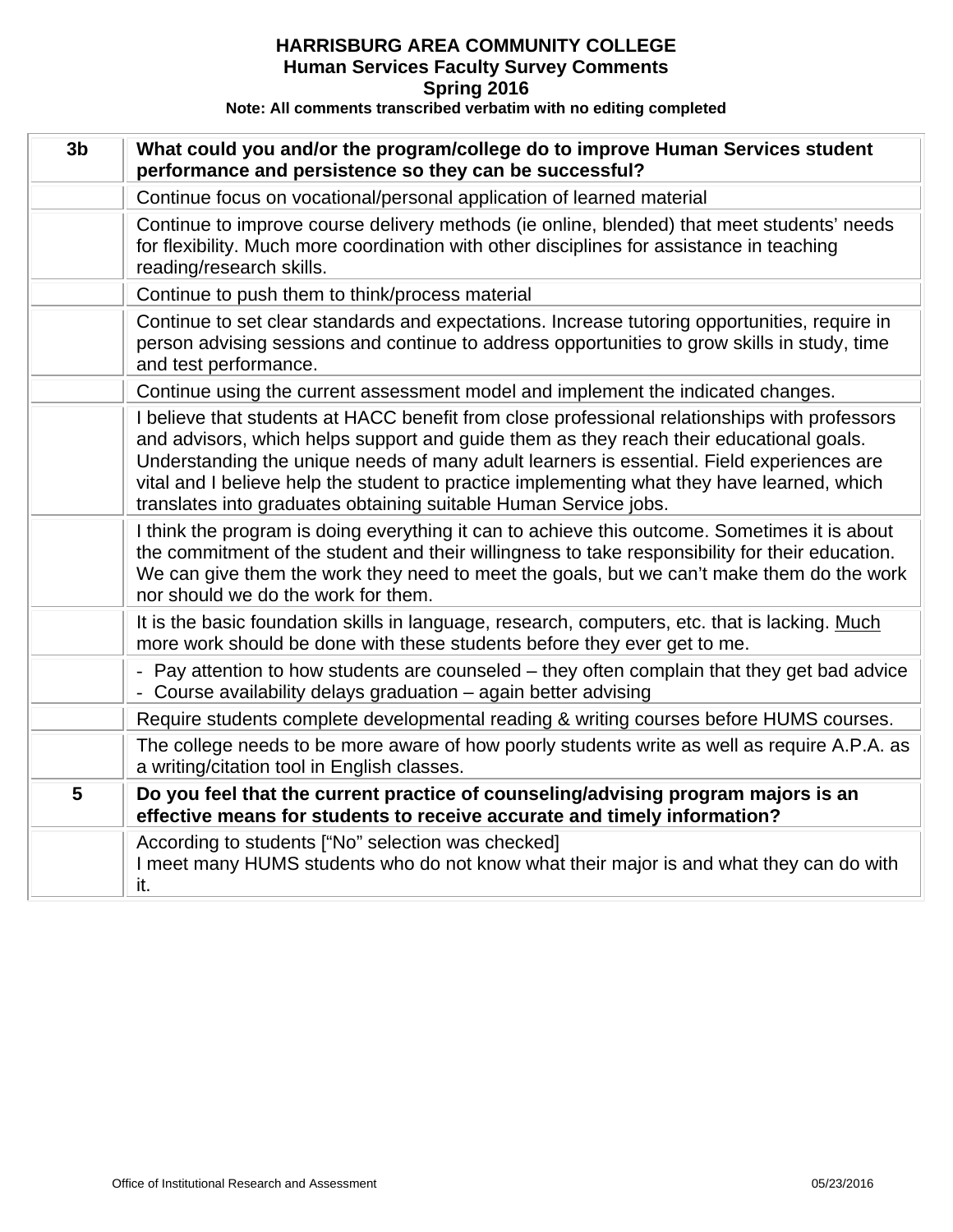| 3 <sub>b</sub> | What could you and/or the program/college do to improve Human Services student<br>performance and persistence so they can be successful?                                                                                                                                                                                                                                                                                                                 |
|----------------|----------------------------------------------------------------------------------------------------------------------------------------------------------------------------------------------------------------------------------------------------------------------------------------------------------------------------------------------------------------------------------------------------------------------------------------------------------|
|                | Continue focus on vocational/personal application of learned material                                                                                                                                                                                                                                                                                                                                                                                    |
|                | Continue to improve course delivery methods (ie online, blended) that meet students' needs<br>for flexibility. Much more coordination with other disciplines for assistance in teaching<br>reading/research skills.                                                                                                                                                                                                                                      |
|                | Continue to push them to think/process material                                                                                                                                                                                                                                                                                                                                                                                                          |
|                | Continue to set clear standards and expectations. Increase tutoring opportunities, require in<br>person advising sessions and continue to address opportunities to grow skills in study, time<br>and test performance.                                                                                                                                                                                                                                   |
|                | Continue using the current assessment model and implement the indicated changes.                                                                                                                                                                                                                                                                                                                                                                         |
|                | I believe that students at HACC benefit from close professional relationships with professors<br>and advisors, which helps support and guide them as they reach their educational goals.<br>Understanding the unique needs of many adult learners is essential. Field experiences are<br>vital and I believe help the student to practice implementing what they have learned, which<br>translates into graduates obtaining suitable Human Service jobs. |
|                | I think the program is doing everything it can to achieve this outcome. Sometimes it is about<br>the commitment of the student and their willingness to take responsibility for their education.<br>We can give them the work they need to meet the goals, but we can't make them do the work<br>nor should we do the work for them.                                                                                                                     |
|                | It is the basic foundation skills in language, research, computers, etc. that is lacking. Much<br>more work should be done with these students before they ever get to me.                                                                                                                                                                                                                                                                               |
|                | - Pay attention to how students are counseled – they often complain that they get bad advice<br>- Course availability delays graduation - again better advising                                                                                                                                                                                                                                                                                          |
|                | Require students complete developmental reading & writing courses before HUMS courses.                                                                                                                                                                                                                                                                                                                                                                   |
|                | The college needs to be more aware of how poorly students write as well as require A.P.A. as<br>a writing/citation tool in English classes.                                                                                                                                                                                                                                                                                                              |
| 5              | Do you feel that the current practice of counseling/advising program majors is an<br>effective means for students to receive accurate and timely information?                                                                                                                                                                                                                                                                                            |
|                | According to students ["No" selection was checked]<br>I meet many HUMS students who do not know what their major is and what they can do with<br>it.                                                                                                                                                                                                                                                                                                     |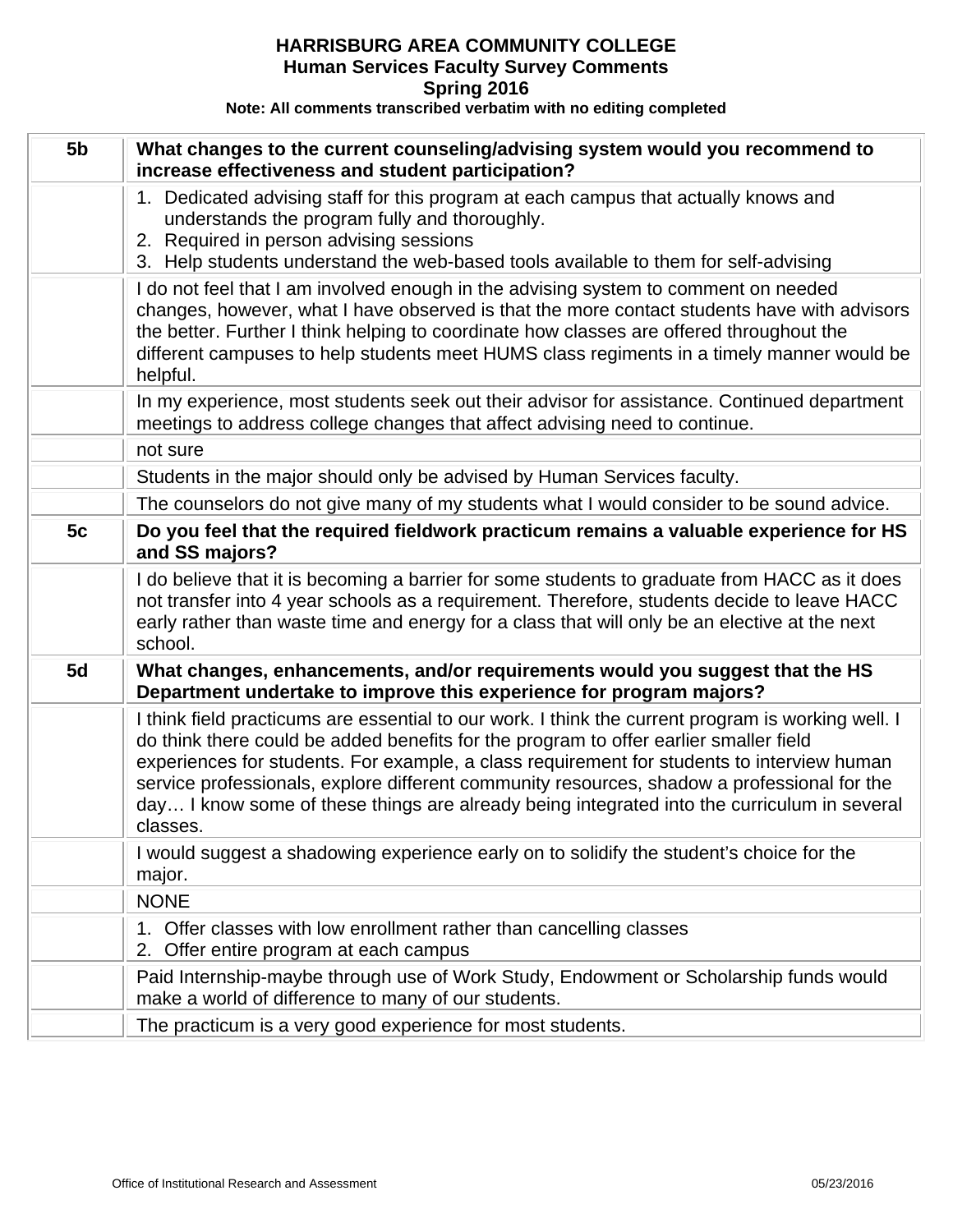| 5b | What changes to the current counseling/advising system would you recommend to<br>increase effectiveness and student participation?                                                                                                                                                                                                                                                                                                                                                                  |
|----|-----------------------------------------------------------------------------------------------------------------------------------------------------------------------------------------------------------------------------------------------------------------------------------------------------------------------------------------------------------------------------------------------------------------------------------------------------------------------------------------------------|
|    | 1. Dedicated advising staff for this program at each campus that actually knows and<br>understands the program fully and thoroughly.<br>2. Required in person advising sessions<br>3. Help students understand the web-based tools available to them for self-advising                                                                                                                                                                                                                              |
|    | I do not feel that I am involved enough in the advising system to comment on needed<br>changes, however, what I have observed is that the more contact students have with advisors<br>the better. Further I think helping to coordinate how classes are offered throughout the<br>different campuses to help students meet HUMS class regiments in a timely manner would be<br>helpful.                                                                                                             |
|    | In my experience, most students seek out their advisor for assistance. Continued department<br>meetings to address college changes that affect advising need to continue.                                                                                                                                                                                                                                                                                                                           |
|    | not sure                                                                                                                                                                                                                                                                                                                                                                                                                                                                                            |
|    | Students in the major should only be advised by Human Services faculty.                                                                                                                                                                                                                                                                                                                                                                                                                             |
|    | The counselors do not give many of my students what I would consider to be sound advice.                                                                                                                                                                                                                                                                                                                                                                                                            |
| 5c | Do you feel that the required fieldwork practicum remains a valuable experience for HS<br>and SS majors?                                                                                                                                                                                                                                                                                                                                                                                            |
|    | I do believe that it is becoming a barrier for some students to graduate from HACC as it does<br>not transfer into 4 year schools as a requirement. Therefore, students decide to leave HACC<br>early rather than waste time and energy for a class that will only be an elective at the next<br>school.                                                                                                                                                                                            |
| 5d | What changes, enhancements, and/or requirements would you suggest that the HS<br>Department undertake to improve this experience for program majors?                                                                                                                                                                                                                                                                                                                                                |
|    | I think field practicums are essential to our work. I think the current program is working well. I<br>do think there could be added benefits for the program to offer earlier smaller field<br>experiences for students. For example, a class requirement for students to interview human<br>service professionals, explore different community resources, shadow a professional for the<br>day I know some of these things are already being integrated into the curriculum in several<br>classes. |
|    | I would suggest a shadowing experience early on to solidify the student's choice for the<br>major.                                                                                                                                                                                                                                                                                                                                                                                                  |
|    | <b>NONE</b>                                                                                                                                                                                                                                                                                                                                                                                                                                                                                         |
|    | 1. Offer classes with low enrollment rather than cancelling classes<br>2. Offer entire program at each campus                                                                                                                                                                                                                                                                                                                                                                                       |
|    | Paid Internship-maybe through use of Work Study, Endowment or Scholarship funds would<br>make a world of difference to many of our students.                                                                                                                                                                                                                                                                                                                                                        |
|    | The practicum is a very good experience for most students.                                                                                                                                                                                                                                                                                                                                                                                                                                          |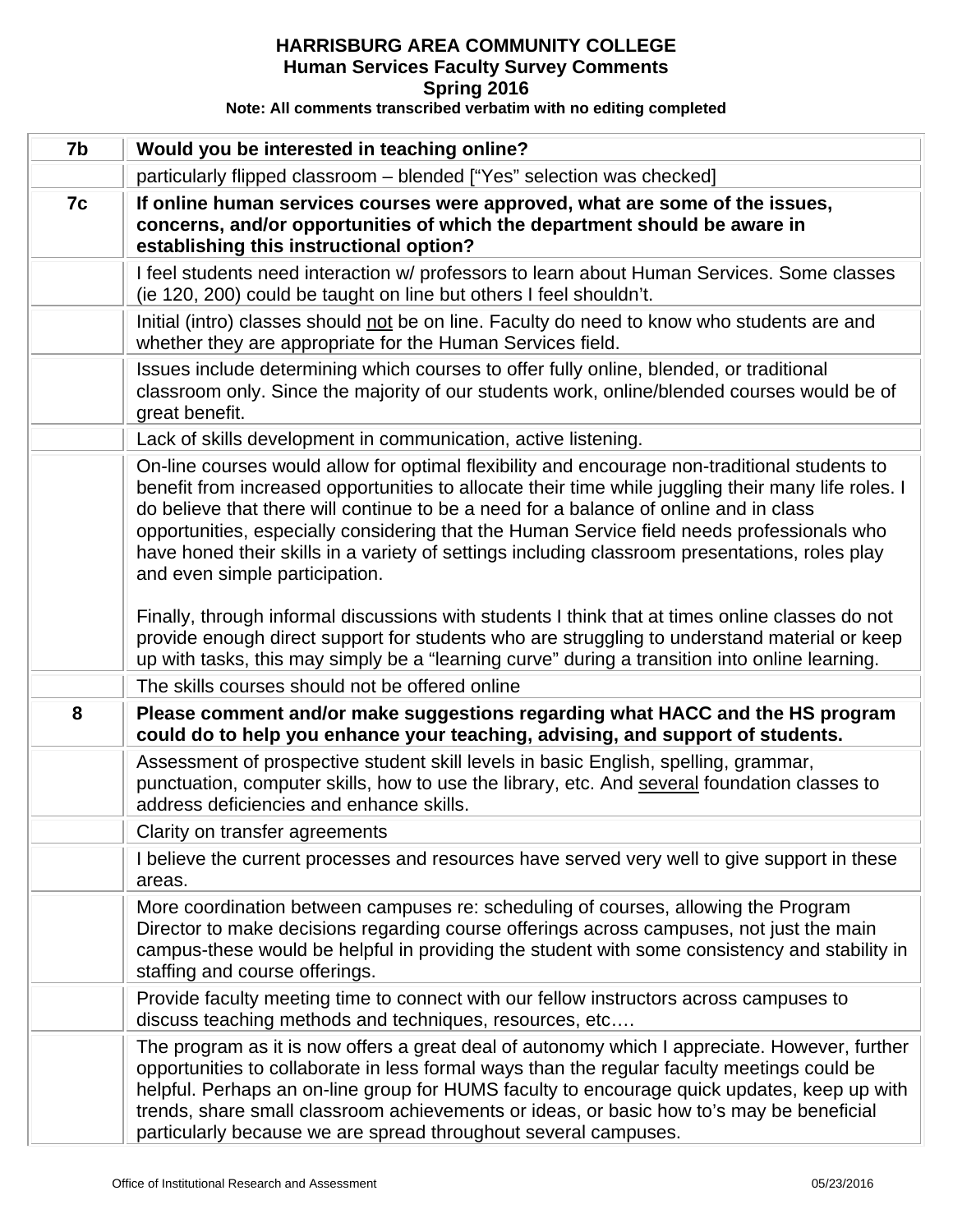| 7b | Would you be interested in teaching online?                                                                                                                                                                                                                                                                                                                                                                                                                                                                                     |
|----|---------------------------------------------------------------------------------------------------------------------------------------------------------------------------------------------------------------------------------------------------------------------------------------------------------------------------------------------------------------------------------------------------------------------------------------------------------------------------------------------------------------------------------|
|    | particularly flipped classroom - blended ["Yes" selection was checked]                                                                                                                                                                                                                                                                                                                                                                                                                                                          |
| 7c | If online human services courses were approved, what are some of the issues,<br>concerns, and/or opportunities of which the department should be aware in<br>establishing this instructional option?                                                                                                                                                                                                                                                                                                                            |
|    | I feel students need interaction w/ professors to learn about Human Services. Some classes<br>(ie 120, 200) could be taught on line but others I feel shouldn't.                                                                                                                                                                                                                                                                                                                                                                |
|    | Initial (intro) classes should not be on line. Faculty do need to know who students are and<br>whether they are appropriate for the Human Services field.                                                                                                                                                                                                                                                                                                                                                                       |
|    | Issues include determining which courses to offer fully online, blended, or traditional<br>classroom only. Since the majority of our students work, online/blended courses would be of<br>great benefit.                                                                                                                                                                                                                                                                                                                        |
|    | Lack of skills development in communication, active listening.                                                                                                                                                                                                                                                                                                                                                                                                                                                                  |
|    | On-line courses would allow for optimal flexibility and encourage non-traditional students to<br>benefit from increased opportunities to allocate their time while juggling their many life roles. I<br>do believe that there will continue to be a need for a balance of online and in class<br>opportunities, especially considering that the Human Service field needs professionals who<br>have honed their skills in a variety of settings including classroom presentations, roles play<br>and even simple participation. |
|    | Finally, through informal discussions with students I think that at times online classes do not<br>provide enough direct support for students who are struggling to understand material or keep<br>up with tasks, this may simply be a "learning curve" during a transition into online learning.                                                                                                                                                                                                                               |
|    | The skills courses should not be offered online                                                                                                                                                                                                                                                                                                                                                                                                                                                                                 |
| 8  | Please comment and/or make suggestions regarding what HACC and the HS program<br>could do to help you enhance your teaching, advising, and support of students.                                                                                                                                                                                                                                                                                                                                                                 |
|    | Assessment of prospective student skill levels in basic English, spelling, grammar,<br>punctuation, computer skills, how to use the library, etc. And several foundation classes to<br>address deficiencies and enhance skills.                                                                                                                                                                                                                                                                                                 |
|    | Clarity on transfer agreements                                                                                                                                                                                                                                                                                                                                                                                                                                                                                                  |
|    | I believe the current processes and resources have served very well to give support in these<br>areas.                                                                                                                                                                                                                                                                                                                                                                                                                          |
|    | More coordination between campuses re: scheduling of courses, allowing the Program<br>Director to make decisions regarding course offerings across campuses, not just the main<br>campus-these would be helpful in providing the student with some consistency and stability in<br>staffing and course offerings.                                                                                                                                                                                                               |
|    | Provide faculty meeting time to connect with our fellow instructors across campuses to<br>discuss teaching methods and techniques, resources, etc                                                                                                                                                                                                                                                                                                                                                                               |
|    | The program as it is now offers a great deal of autonomy which I appreciate. However, further<br>opportunities to collaborate in less formal ways than the regular faculty meetings could be<br>helpful. Perhaps an on-line group for HUMS faculty to encourage quick updates, keep up with<br>trends, share small classroom achievements or ideas, or basic how to's may be beneficial<br>particularly because we are spread throughout several campuses.                                                                      |